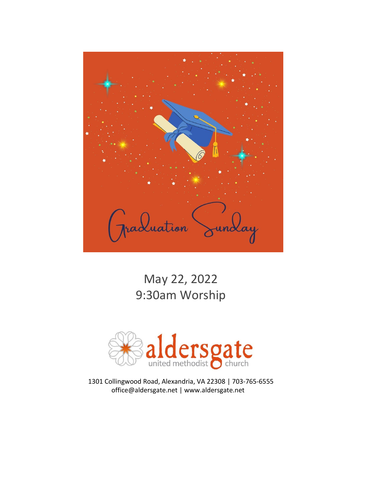

# May 22, 2022 9:30am Worship



1301 Collingwood Road, Alexandria, VA 22308 | 703-765-6555 office@aldersgate.net | www.aldersgate.net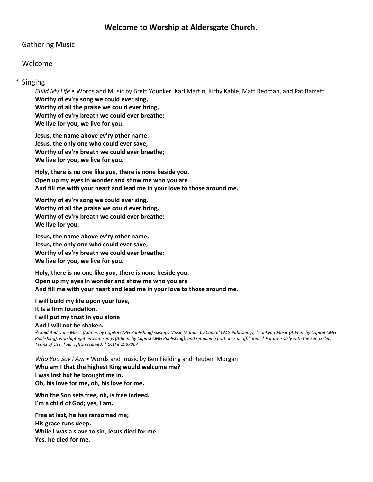## **Welcome to Worship at Aldersgate Church.**

## Gathering Music

## Welcome

## \* Singing

*Build My Life* • Words and Music by Brett Younker, Karl Martin, Kirby Kable, Matt Redman, and Pat Barrett **Worthy of ev'ry song we could ever sing, Worthy of all the praise we could ever bring, Worthy of ev'ry breath we could ever breathe;**

**We live for you, we live for you.**

**Jesus, the name above ev'ry other name, Jesus, the only one who could ever save, Worthy of ev'ry breath we could ever breathe; We live for you, we live for you.**

**Holy, there is no one like you, there is none beside you. Open up my eyes in wonder and show me who you are And fill me with your heart and lead me in your love to those around me.**

**Worthy of ev'ry song we could ever sing, Worthy of all the praise we could ever bring, Worthy of ev'ry breath we could ever breathe; We live for you.**

**Jesus, the name above ev'ry other name, Jesus, the only one who could ever save, Worthy of ev'ry breath we could ever breathe; We live for you, we live for you.**

**Holy, there is no one like you, there is none beside you. Open up my eyes in wonder and show me who you are And fill me with your heart and lead me in your love to those around me.**

**I will build my life upon your love, It is a firm foundation. I will put my trust in you alone And I will not be shaken.**

*© Said And Done Music (Admin. by Capitol CMG Publishing) sixsteps Music (Admin. by Capitol CMG Publishing), Thankyou Music (Admin. by Capitol CMG Publishing), worshiptogether.com songs (Admin. by Capitol CMG Publishing), and remaining portion is unaffiliated. | For use solely with the SongSelect Terms of Use. | All rights reserved. | CCLI # 2987967*

*Who You Say I Am* • Words and music by Ben Fielding and Reuben Morgan **Who am I that the highest King would welcome me? I was lost but he brought me in. Oh, his love for me, oh, his love for me.**

**Who the Son sets free, oh, is free indeed. I'm a child of God; yes, I am.**

**Free at last, he has ransomed me; His grace runs deep. While I was a slave to sin, Jesus died for me. Yes, he died for me.**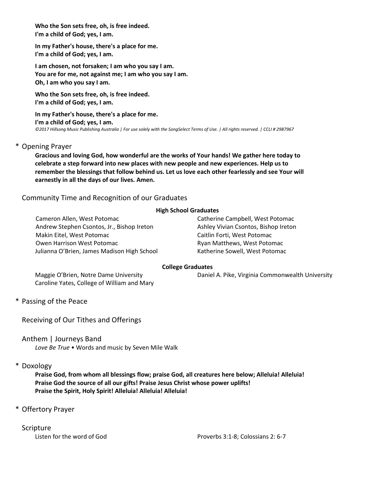**Who the Son sets free, oh, is free indeed. I'm a child of God; yes, I am.**

**In my Father's house, there's a place for me. I'm a child of God; yes, I am.**

**I am chosen, not forsaken; I am who you say I am. You are for me, not against me; I am who you say I am. Oh, I am who you say I am.**

**Who the Son sets free, oh, is free indeed. I'm a child of God; yes, I am.**

**In my Father's house, there's a place for me. I'm a child of God; yes, I am.** *©2017 Hillsong Music Publishing Australia | For use solely with the SongSelect Terms of Use. | All rights reserved. | CCLI # 2987967*

## \* Opening Prayer

**Gracious and loving God, how wonderful are the works of Your hands! We gather here today to celebrate a step forward into new places with new people and new experiences. Help us to remember the blessings that follow behind us. Let us love each other fearlessly and see Your will earnestly in all the days of our lives. Amen.**

## Community Time and Recognition of our Graduates

#### **High School Graduates**

Cameron Allen, West Potomac Catherine Campbell, West Potomac Andrew Stephen Csontos, Jr., Bishop Ireton Ashley Vivian Csontos, Bishop Ireton Makin Eitel, West Potomac Caitlin Forti, West Potomac Owen Harrison West Potomac **Ryan Matthews, West Potomac** Ryan Matthews, West Potomac Julianna O'Brien, James Madison High School Katherine Sowell, West Potomac

#### **College Graduates**

Maggie O'Brien, Notre Dame University **Daniel A. Pike, Virginia Commonwealth University** 

Caroline Yates, College of William and Mary

\* Passing of the Peace

Receiving of Our Tithes and Offerings

Anthem | Journeys Band

*Love Be True* • Words and music by Seven Mile Walk

## \* Doxology

**Praise God, from whom all blessings flow; praise God, all creatures here below; Alleluia! Alleluia! Praise God the source of all our gifts! Praise Jesus Christ whose power uplifts! Praise the Spirit, Holy Spirit! Alleluia! Alleluia! Alleluia!**

\* Offertory Prayer

Scripture